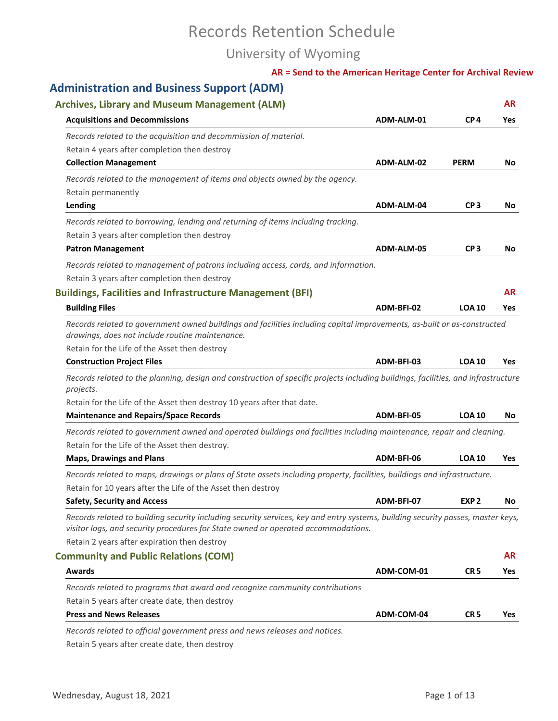# Records Retention Schedule

## University of Wyoming

|                                                                                                                                                                                                                      |                                                                                                                              | <b>AR</b>                                                                                                                                                                                                                                                                                                                                                                                                                                                                                                                                                                                                                             |
|----------------------------------------------------------------------------------------------------------------------------------------------------------------------------------------------------------------------|------------------------------------------------------------------------------------------------------------------------------|---------------------------------------------------------------------------------------------------------------------------------------------------------------------------------------------------------------------------------------------------------------------------------------------------------------------------------------------------------------------------------------------------------------------------------------------------------------------------------------------------------------------------------------------------------------------------------------------------------------------------------------|
|                                                                                                                                                                                                                      |                                                                                                                              | Yes                                                                                                                                                                                                                                                                                                                                                                                                                                                                                                                                                                                                                                   |
|                                                                                                                                                                                                                      |                                                                                                                              |                                                                                                                                                                                                                                                                                                                                                                                                                                                                                                                                                                                                                                       |
|                                                                                                                                                                                                                      |                                                                                                                              |                                                                                                                                                                                                                                                                                                                                                                                                                                                                                                                                                                                                                                       |
|                                                                                                                                                                                                                      |                                                                                                                              | No.                                                                                                                                                                                                                                                                                                                                                                                                                                                                                                                                                                                                                                   |
|                                                                                                                                                                                                                      |                                                                                                                              |                                                                                                                                                                                                                                                                                                                                                                                                                                                                                                                                                                                                                                       |
|                                                                                                                                                                                                                      |                                                                                                                              |                                                                                                                                                                                                                                                                                                                                                                                                                                                                                                                                                                                                                                       |
| ADM-ALM-04                                                                                                                                                                                                           | CP <sub>3</sub>                                                                                                              | No                                                                                                                                                                                                                                                                                                                                                                                                                                                                                                                                                                                                                                    |
|                                                                                                                                                                                                                      |                                                                                                                              |                                                                                                                                                                                                                                                                                                                                                                                                                                                                                                                                                                                                                                       |
|                                                                                                                                                                                                                      |                                                                                                                              |                                                                                                                                                                                                                                                                                                                                                                                                                                                                                                                                                                                                                                       |
| ADM-ALM-05                                                                                                                                                                                                           | CP <sub>3</sub>                                                                                                              | No.                                                                                                                                                                                                                                                                                                                                                                                                                                                                                                                                                                                                                                   |
|                                                                                                                                                                                                                      |                                                                                                                              |                                                                                                                                                                                                                                                                                                                                                                                                                                                                                                                                                                                                                                       |
|                                                                                                                                                                                                                      |                                                                                                                              |                                                                                                                                                                                                                                                                                                                                                                                                                                                                                                                                                                                                                                       |
|                                                                                                                                                                                                                      |                                                                                                                              | <b>AR</b>                                                                                                                                                                                                                                                                                                                                                                                                                                                                                                                                                                                                                             |
| ADM-BFI-02                                                                                                                                                                                                           | <b>LOA 10</b>                                                                                                                | Yes                                                                                                                                                                                                                                                                                                                                                                                                                                                                                                                                                                                                                                   |
|                                                                                                                                                                                                                      |                                                                                                                              |                                                                                                                                                                                                                                                                                                                                                                                                                                                                                                                                                                                                                                       |
|                                                                                                                                                                                                                      |                                                                                                                              | Yes                                                                                                                                                                                                                                                                                                                                                                                                                                                                                                                                                                                                                                   |
|                                                                                                                                                                                                                      |                                                                                                                              |                                                                                                                                                                                                                                                                                                                                                                                                                                                                                                                                                                                                                                       |
|                                                                                                                                                                                                                      |                                                                                                                              |                                                                                                                                                                                                                                                                                                                                                                                                                                                                                                                                                                                                                                       |
| ADM-BFI-05                                                                                                                                                                                                           | <b>LOA 10</b>                                                                                                                | No                                                                                                                                                                                                                                                                                                                                                                                                                                                                                                                                                                                                                                    |
|                                                                                                                                                                                                                      |                                                                                                                              |                                                                                                                                                                                                                                                                                                                                                                                                                                                                                                                                                                                                                                       |
| ADM-BFI-06                                                                                                                                                                                                           | <b>LOA 10</b>                                                                                                                | Yes                                                                                                                                                                                                                                                                                                                                                                                                                                                                                                                                                                                                                                   |
|                                                                                                                                                                                                                      |                                                                                                                              |                                                                                                                                                                                                                                                                                                                                                                                                                                                                                                                                                                                                                                       |
|                                                                                                                                                                                                                      |                                                                                                                              |                                                                                                                                                                                                                                                                                                                                                                                                                                                                                                                                                                                                                                       |
| ADM-BFI-07                                                                                                                                                                                                           | EXP <sub>2</sub>                                                                                                             |                                                                                                                                                                                                                                                                                                                                                                                                                                                                                                                                                                                                                                       |
| Records related to building security including security services, key and entry systems, building security passes, master keys,<br>visitor logs, and security procedures for State owned or operated accommodations. |                                                                                                                              |                                                                                                                                                                                                                                                                                                                                                                                                                                                                                                                                                                                                                                       |
|                                                                                                                                                                                                                      |                                                                                                                              |                                                                                                                                                                                                                                                                                                                                                                                                                                                                                                                                                                                                                                       |
| ADM-COM-01                                                                                                                                                                                                           | CR <sub>5</sub>                                                                                                              |                                                                                                                                                                                                                                                                                                                                                                                                                                                                                                                                                                                                                                       |
|                                                                                                                                                                                                                      |                                                                                                                              |                                                                                                                                                                                                                                                                                                                                                                                                                                                                                                                                                                                                                                       |
| Records related to programs that award and recognize community contributions                                                                                                                                         |                                                                                                                              |                                                                                                                                                                                                                                                                                                                                                                                                                                                                                                                                                                                                                                       |
| ADM-COM-04                                                                                                                                                                                                           | CR <sub>5</sub>                                                                                                              | No<br><b>AR</b><br>Yes<br>Yes                                                                                                                                                                                                                                                                                                                                                                                                                                                                                                                                                                                                         |
|                                                                                                                                                                                                                      |                                                                                                                              |                                                                                                                                                                                                                                                                                                                                                                                                                                                                                                                                                                                                                                       |
|                                                                                                                                                                                                                      | ADM-ALM-01<br>ADM-ALM-02<br>Records related to management of patrons including access, cards, and information.<br>ADM-BFI-03 | AR = Send to the American Heritage Center for Archival Review<br>CP <sub>4</sub><br><b>PERM</b><br>Records related to government owned buildings and facilities including capital improvements, as-built or as-constructed<br><b>LOA 10</b><br>Records related to the planning, design and construction of specific projects including buildings, facilities, and infrastructure<br>Records related to government owned and operated buildings and facilities including maintenance, repair and cleaning.<br>Records related to maps, drawings or plans of State assets including property, facilities, buildings and infrastructure. |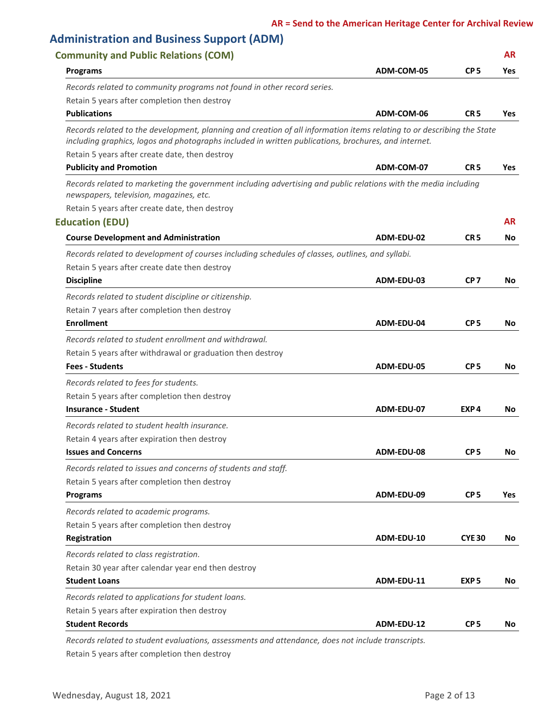| <b>Administration and Business Support (ADM)</b>                                                                                                                                                                               |            |                  |            |
|--------------------------------------------------------------------------------------------------------------------------------------------------------------------------------------------------------------------------------|------------|------------------|------------|
| <b>Community and Public Relations (COM)</b>                                                                                                                                                                                    |            |                  | <b>AR</b>  |
| <b>Programs</b>                                                                                                                                                                                                                | ADM-COM-05 | CP <sub>5</sub>  | Yes        |
| Records related to community programs not found in other record series.                                                                                                                                                        |            |                  |            |
| Retain 5 years after completion then destroy                                                                                                                                                                                   |            |                  |            |
| <b>Publications</b>                                                                                                                                                                                                            | ADM-COM-06 | CR <sub>5</sub>  | <b>Yes</b> |
| Records related to the development, planning and creation of all information items relating to or describing the State<br>including graphics, logos and photographs included in written publications, brochures, and internet. |            |                  |            |
| Retain 5 years after create date, then destroy                                                                                                                                                                                 |            |                  |            |
| <b>Publicity and Promotion</b>                                                                                                                                                                                                 | ADM-COM-07 | CR <sub>5</sub>  | Yes        |
| Records related to marketing the government including advertising and public relations with the media including<br>newspapers, television, magazines, etc.                                                                     |            |                  |            |
| Retain 5 years after create date, then destroy                                                                                                                                                                                 |            |                  |            |
| <b>Education (EDU)</b>                                                                                                                                                                                                         |            |                  | AR.        |
| <b>Course Development and Administration</b>                                                                                                                                                                                   | ADM-EDU-02 | CR <sub>5</sub>  | No         |
| Records related to development of courses including schedules of classes, outlines, and syllabi.                                                                                                                               |            |                  |            |
| Retain 5 years after create date then destroy                                                                                                                                                                                  |            |                  |            |
| <b>Discipline</b>                                                                                                                                                                                                              | ADM-EDU-03 | CP <sub>7</sub>  | No.        |
| Records related to student discipline or citizenship.                                                                                                                                                                          |            |                  |            |
| Retain 7 years after completion then destroy                                                                                                                                                                                   |            |                  |            |
| <b>Enrollment</b>                                                                                                                                                                                                              | ADM-EDU-04 | CP <sub>5</sub>  | No.        |
| Records related to student enrollment and withdrawal.                                                                                                                                                                          |            |                  |            |
| Retain 5 years after withdrawal or graduation then destroy                                                                                                                                                                     |            |                  |            |
| <b>Fees - Students</b>                                                                                                                                                                                                         | ADM-EDU-05 | CP <sub>5</sub>  | No.        |
| Records related to fees for students.                                                                                                                                                                                          |            |                  |            |
| Retain 5 years after completion then destroy                                                                                                                                                                                   |            |                  |            |
| <b>Insurance - Student</b>                                                                                                                                                                                                     | ADM-EDU-07 | EXP4             | No.        |
| Records related to student health insurance.                                                                                                                                                                                   |            |                  |            |
| Retain 4 years after expiration then destroy                                                                                                                                                                                   |            |                  |            |
| <b>Issues and Concerns</b>                                                                                                                                                                                                     | ADM-EDU-08 | CP <sub>5</sub>  | No         |
| Records related to issues and concerns of students and staff.                                                                                                                                                                  |            |                  |            |
| Retain 5 years after completion then destroy                                                                                                                                                                                   |            |                  |            |
| <b>Programs</b>                                                                                                                                                                                                                | ADM-EDU-09 | CP <sub>5</sub>  | Yes        |
| Records related to academic programs.                                                                                                                                                                                          |            |                  |            |
| Retain 5 years after completion then destroy                                                                                                                                                                                   |            |                  |            |
| Registration                                                                                                                                                                                                                   | ADM-EDU-10 | <b>CYE 30</b>    | No         |
| Records related to class registration.                                                                                                                                                                                         |            |                  |            |
| Retain 30 year after calendar year end then destroy                                                                                                                                                                            |            |                  |            |
| <b>Student Loans</b>                                                                                                                                                                                                           | ADM-EDU-11 | EXP <sub>5</sub> | No.        |
| Records related to applications for student loans.                                                                                                                                                                             |            |                  |            |
| Retain 5 years after expiration then destroy                                                                                                                                                                                   |            |                  |            |
| <b>Student Records</b>                                                                                                                                                                                                         | ADM-EDU-12 | CP <sub>5</sub>  | No.        |

Retain 5 years after completion then destroy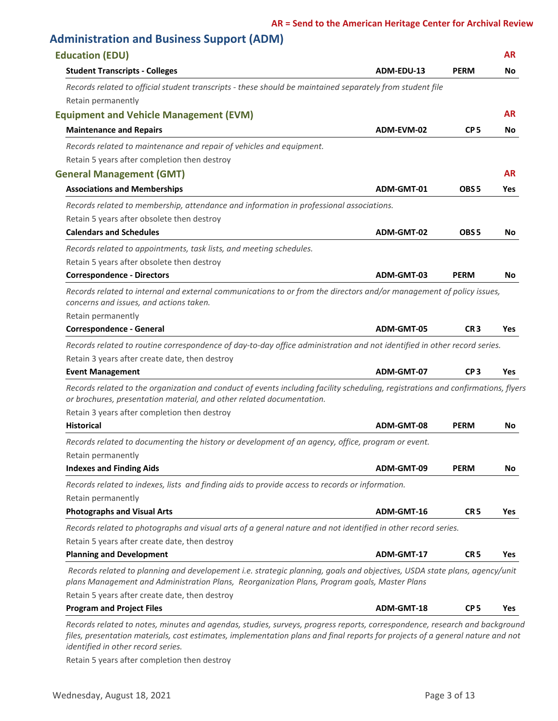### **Administration and Business Support (ADM)**

| <b>Education (EDU)</b>                                                                                                                                                                                                    |            |                  | <b>AR</b>  |
|---------------------------------------------------------------------------------------------------------------------------------------------------------------------------------------------------------------------------|------------|------------------|------------|
| <b>Student Transcripts - Colleges</b>                                                                                                                                                                                     | ADM-EDU-13 | <b>PERM</b>      | No         |
| Records related to official student transcripts - these should be maintained separately from student file                                                                                                                 |            |                  |            |
| Retain permanently                                                                                                                                                                                                        |            |                  |            |
| <b>Equipment and Vehicle Management (EVM)</b>                                                                                                                                                                             |            |                  | <b>AR</b>  |
| <b>Maintenance and Repairs</b>                                                                                                                                                                                            | ADM-EVM-02 | CP <sub>5</sub>  | No         |
| Records related to maintenance and repair of vehicles and equipment.                                                                                                                                                      |            |                  |            |
| Retain 5 years after completion then destroy                                                                                                                                                                              |            |                  |            |
| <b>General Management (GMT)</b>                                                                                                                                                                                           |            |                  | <b>AR</b>  |
| <b>Associations and Memberships</b>                                                                                                                                                                                       | ADM-GMT-01 | OBS <sub>5</sub> | Yes        |
| Records related to membership, attendance and information in professional associations.                                                                                                                                   |            |                  |            |
| Retain 5 years after obsolete then destroy                                                                                                                                                                                |            |                  |            |
| <b>Calendars and Schedules</b>                                                                                                                                                                                            | ADM-GMT-02 | OBS <sub>5</sub> | No         |
| Records related to appointments, task lists, and meeting schedules.                                                                                                                                                       |            |                  |            |
| Retain 5 years after obsolete then destroy                                                                                                                                                                                |            |                  |            |
| <b>Correspondence - Directors</b>                                                                                                                                                                                         | ADM-GMT-03 | <b>PERM</b>      | No         |
| Records related to internal and external communications to or from the directors and/or management of policy issues,<br>concerns and issues, and actions taken.                                                           |            |                  |            |
| Retain permanently                                                                                                                                                                                                        |            |                  |            |
| <b>Correspondence - General</b>                                                                                                                                                                                           | ADM-GMT-05 | CR <sub>3</sub>  | <b>Yes</b> |
| Records related to routine correspondence of day-to-day office administration and not identified in other record series.                                                                                                  |            |                  |            |
| Retain 3 years after create date, then destroy                                                                                                                                                                            |            |                  |            |
| <b>Event Management</b>                                                                                                                                                                                                   | ADM-GMT-07 | CP <sub>3</sub>  | <b>Yes</b> |
| Records related to the organization and conduct of events including facility scheduling, registrations and confirmations, flyers<br>or brochures, presentation material, and other related documentation.                 |            |                  |            |
| Retain 3 years after completion then destroy                                                                                                                                                                              |            |                  |            |
| <b>Historical</b>                                                                                                                                                                                                         | ADM-GMT-08 | <b>PERM</b>      | No         |
| Records related to documenting the history or development of an agency, office, program or event.                                                                                                                         |            |                  |            |
| Retain permanently                                                                                                                                                                                                        |            |                  |            |
| <b>Indexes and Finding Aids</b>                                                                                                                                                                                           | ADM-GMT-09 | <b>PERM</b>      | No         |
| Records related to indexes, lists and finding aids to provide access to records or information.                                                                                                                           |            |                  |            |
| Retain permanently                                                                                                                                                                                                        |            |                  |            |
| <b>Photographs and Visual Arts</b>                                                                                                                                                                                        | ADM-GMT-16 | CR <sub>5</sub>  | <b>Yes</b> |
| Records related to photographs and visual arts of a general nature and not identified in other record series.                                                                                                             |            |                  |            |
| Retain 5 years after create date, then destroy                                                                                                                                                                            |            |                  |            |
| <b>Planning and Development</b>                                                                                                                                                                                           | ADM-GMT-17 | CR <sub>5</sub>  | Yes        |
| Records related to planning and developement i.e. strategic planning, goals and objectives, USDA state plans, agency/unit<br>plans Management and Administration Plans, Reorganization Plans, Program goals, Master Plans |            |                  |            |
|                                                                                                                                                                                                                           |            |                  |            |
| Retain 5 years after create date, then destroy                                                                                                                                                                            |            |                  |            |

*Records related to notes, minutes and agendas, studies, surveys, progress reports, correspondence, research and background files, presentation materials, cost estimates, implementation plans and final reports for projects of a general nature and not identified in other record series.*

Retain 5 years after completion then destroy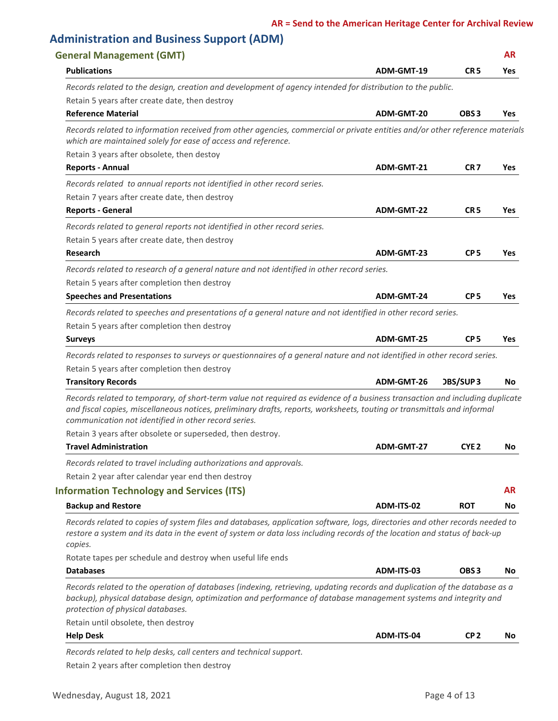|                                                                                                                                                                                                                                                                                                   |            |                  | <b>AR</b>                          |
|---------------------------------------------------------------------------------------------------------------------------------------------------------------------------------------------------------------------------------------------------------------------------------------------------|------------|------------------|------------------------------------|
| <b>Publications</b>                                                                                                                                                                                                                                                                               | ADM-GMT-19 | CR <sub>5</sub>  | Yes                                |
| Records related to the design, creation and development of agency intended for distribution to the public.                                                                                                                                                                                        |            |                  |                                    |
| Retain 5 years after create date, then destroy                                                                                                                                                                                                                                                    |            |                  |                                    |
| <b>Reference Material</b>                                                                                                                                                                                                                                                                         | ADM-GMT-20 | OBS <sub>3</sub> | Yes                                |
| Records related to information received from other agencies, commercial or private entities and/or other reference materials<br>which are maintained solely for ease of access and reference.                                                                                                     |            |                  |                                    |
| Retain 3 years after obsolete, then destoy                                                                                                                                                                                                                                                        |            |                  |                                    |
| <b>Reports - Annual</b>                                                                                                                                                                                                                                                                           | ADM-GMT-21 | CR <sub>7</sub>  | Yes                                |
| Records related to annual reports not identified in other record series.                                                                                                                                                                                                                          |            |                  |                                    |
| Retain 7 years after create date, then destroy                                                                                                                                                                                                                                                    |            |                  |                                    |
| <b>Reports - General</b>                                                                                                                                                                                                                                                                          | ADM-GMT-22 | CR <sub>5</sub>  | <b>Yes</b>                         |
| Records related to general reports not identified in other record series.                                                                                                                                                                                                                         |            |                  |                                    |
| Retain 5 years after create date, then destroy                                                                                                                                                                                                                                                    |            |                  |                                    |
| <b>Research</b>                                                                                                                                                                                                                                                                                   | ADM-GMT-23 | CP <sub>5</sub>  | Yes                                |
| Records related to research of a general nature and not identified in other record series.                                                                                                                                                                                                        |            |                  |                                    |
| Retain 5 years after completion then destroy                                                                                                                                                                                                                                                      |            |                  |                                    |
| <b>Speeches and Presentations</b>                                                                                                                                                                                                                                                                 | ADM-GMT-24 | CP <sub>5</sub>  | Yes                                |
| Records related to speeches and presentations of a general nature and not identified in other record series.                                                                                                                                                                                      |            |                  |                                    |
| Retain 5 years after completion then destroy                                                                                                                                                                                                                                                      |            |                  |                                    |
| <b>Surveys</b>                                                                                                                                                                                                                                                                                    |            | CP <sub>5</sub>  | Yes                                |
|                                                                                                                                                                                                                                                                                                   | ADM-GMT-25 |                  |                                    |
| Records related to responses to surveys or questionnaires of a general nature and not identified in other record series.                                                                                                                                                                          |            |                  |                                    |
|                                                                                                                                                                                                                                                                                                   |            |                  |                                    |
| Retain 5 years after completion then destroy<br><b>Transitory Records</b>                                                                                                                                                                                                                         | ADM-GMT-26 | <b>DBS/SUP3</b>  |                                    |
| Records related to temporary, of short-term value not required as evidence of a business transaction and including duplicate<br>and fiscal copies, miscellaneous notices, preliminary drafts, reports, worksheets, touting or transmittals and informal                                           |            |                  |                                    |
| communication not identified in other record series.                                                                                                                                                                                                                                              |            |                  |                                    |
| Retain 3 years after obsolete or superseded, then destroy.<br><b>Travel Administration</b>                                                                                                                                                                                                        | ADM-GMT-27 | CYE <sub>2</sub> |                                    |
|                                                                                                                                                                                                                                                                                                   |            |                  |                                    |
| Records related to travel including authorizations and approvals.                                                                                                                                                                                                                                 |            |                  |                                    |
| Retain 2 year after calendar year end then destroy                                                                                                                                                                                                                                                |            |                  |                                    |
| <b>Information Technology and Services (ITS)</b>                                                                                                                                                                                                                                                  |            |                  |                                    |
| <b>Backup and Restore</b><br>Records related to copies of system files and databases, application software, logs, directories and other records needed to<br>restore a system and its data in the event of system or data loss including records of the location and status of back-up<br>copies. | ADM-ITS-02 | <b>ROT</b>       |                                    |
| Rotate tapes per schedule and destroy when useful life ends                                                                                                                                                                                                                                       |            |                  |                                    |
| <b>Databases</b>                                                                                                                                                                                                                                                                                  | ADM-ITS-03 | OBS <sub>3</sub> |                                    |
| Records related to the operation of databases (indexing, retrieving, updating records and duplication of the database as a<br>backup), physical database design, optimization and performance of database management systems and integrity and<br>protection of physical databases.               |            |                  |                                    |
| Retain until obsolete, then destroy                                                                                                                                                                                                                                                               |            |                  | No.<br>No<br><b>AR</b><br>No<br>No |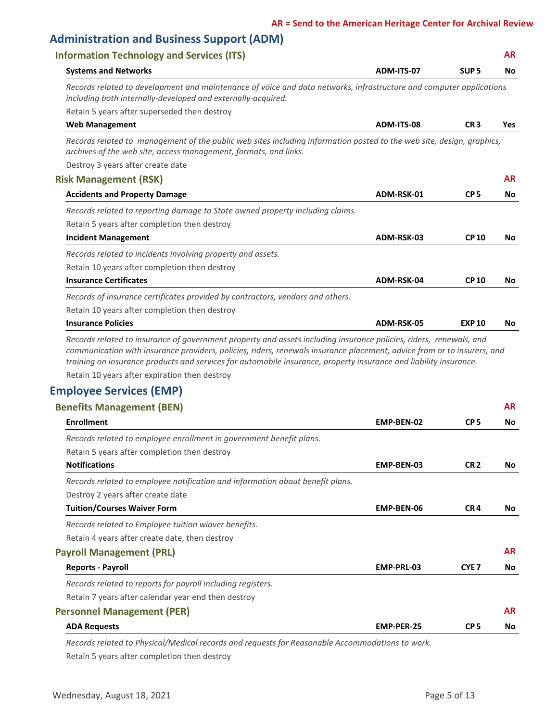# **Administration and Business Support (ADM)**

| <b>Information Technology and Services (ITS)</b>                                                                                                                                                                                                                                                                                                                                                                    |            |                  | AR        |
|---------------------------------------------------------------------------------------------------------------------------------------------------------------------------------------------------------------------------------------------------------------------------------------------------------------------------------------------------------------------------------------------------------------------|------------|------------------|-----------|
| <b>Systems and Networks</b>                                                                                                                                                                                                                                                                                                                                                                                         | ADM-ITS-07 | SUP <sub>5</sub> | No        |
| Records related to development and maintenance of voice and data networks, infrastructure and computer applications<br>including both internally-developed and externally-acquired.                                                                                                                                                                                                                                 |            |                  |           |
| Retain 5 years after superseded then destroy                                                                                                                                                                                                                                                                                                                                                                        |            |                  |           |
| <b>Web Management</b>                                                                                                                                                                                                                                                                                                                                                                                               | ADM-ITS-08 | CR <sub>3</sub>  | Yes       |
| Records related to management of the public web sites including information posted to the web site, design, graphics,<br>archives of the web site, access management, formats, and links.                                                                                                                                                                                                                           |            |                  |           |
| Destroy 3 years after create date                                                                                                                                                                                                                                                                                                                                                                                   |            |                  |           |
| <b>Risk Management (RSK)</b>                                                                                                                                                                                                                                                                                                                                                                                        |            |                  | <b>AR</b> |
| <b>Accidents and Property Damage</b>                                                                                                                                                                                                                                                                                                                                                                                | ADM-RSK-01 | CP <sub>5</sub>  | No        |
| Records related to reporting damage to State owned property including claims.                                                                                                                                                                                                                                                                                                                                       |            |                  |           |
| Retain 5 years after completion then destroy                                                                                                                                                                                                                                                                                                                                                                        |            |                  |           |
| <b>Incident Management</b>                                                                                                                                                                                                                                                                                                                                                                                          | ADM-RSK-03 | <b>CP10</b>      | No        |
| Records related to incidents involving property and assets.                                                                                                                                                                                                                                                                                                                                                         |            |                  |           |
| Retain 10 years after completion then destroy                                                                                                                                                                                                                                                                                                                                                                       |            |                  |           |
| <b>Insurance Certificates</b>                                                                                                                                                                                                                                                                                                                                                                                       | ADM-RSK-04 | <b>CP10</b>      | No        |
| Records of insurance certificates provided by contractors, vendors and others.                                                                                                                                                                                                                                                                                                                                      |            |                  |           |
| Retain 10 years after completion then destroy                                                                                                                                                                                                                                                                                                                                                                       |            |                  |           |
| <b>Insurance Policies</b>                                                                                                                                                                                                                                                                                                                                                                                           | ADM-RSK-05 | <b>EXP 10</b>    | No.       |
| Records related to insurance of government property and assets including insurance policies, riders, renewals, and<br>communication with insurance providers, policies, riders, renewals insurance placement, advice from or to insurers, and<br>training on insurance products and services for automobile insurance, property insurance and liability insurance.<br>Retain 10 years after expiration then destroy |            |                  |           |
| <b>Employee Services (EMP)</b>                                                                                                                                                                                                                                                                                                                                                                                      |            |                  |           |
| <b>Benefits Management (BEN)</b>                                                                                                                                                                                                                                                                                                                                                                                    |            |                  | <b>AR</b> |
| <b>Enrollment</b>                                                                                                                                                                                                                                                                                                                                                                                                   | EMP-BEN-02 | CP <sub>5</sub>  | No.       |
| Records related to employee enrollment in government benefit plans.                                                                                                                                                                                                                                                                                                                                                 |            |                  |           |
| Retain 5 years after completion then destroy                                                                                                                                                                                                                                                                                                                                                                        |            |                  |           |
| <b>Notifications</b>                                                                                                                                                                                                                                                                                                                                                                                                | EMP-BEN-03 | CR <sub>2</sub>  | No        |
| Records related to employee notification and information about benefit plans.                                                                                                                                                                                                                                                                                                                                       |            |                  |           |
| Destroy 2 years after create date                                                                                                                                                                                                                                                                                                                                                                                   |            |                  |           |

**Tuition/Courses Waiver Form EMP-BEN-06 CR 4**

*Records related to Employee tuition wiaver benefits.*

Retain 4 years after create date, then destroy

#### **Payroll Management (PRL) AR**

| <b>Reports - Payroll</b>                                    | EMP-PRL-03        | CYE <sub>7</sub> | Νo        |
|-------------------------------------------------------------|-------------------|------------------|-----------|
| Records related to reports for payroll including registers. |                   |                  |           |
| Retain 7 years after calendar year end then destroy         |                   |                  |           |
| <b>Personnel Management (PER)</b>                           |                   |                  | <b>AR</b> |
| <b>ADA Requests</b>                                         | <b>EMP-PER-25</b> | CP <sub>5</sub>  | No.       |

*Records related to Physical/Medical records and requests for Reasonable Accommodations to work.*

Retain 5 years after completion then destroy

**No**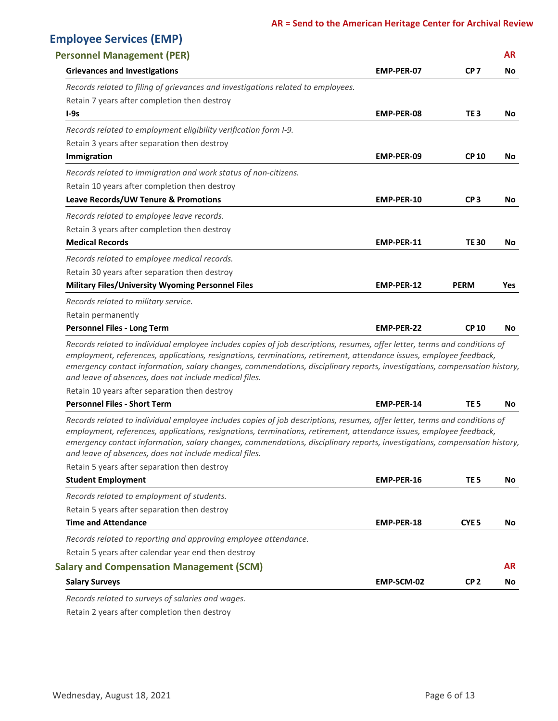## **Employee Services (EMP)**

| <b>Personnel Management (PER)</b>                                                                                                                                                                                                                                                                                                                                                                                                                                                        |                   |                  | <b>AR</b>             |
|------------------------------------------------------------------------------------------------------------------------------------------------------------------------------------------------------------------------------------------------------------------------------------------------------------------------------------------------------------------------------------------------------------------------------------------------------------------------------------------|-------------------|------------------|-----------------------|
| <b>Grievances and Investigations</b>                                                                                                                                                                                                                                                                                                                                                                                                                                                     | EMP-PER-07        | CP <sub>7</sub>  | No                    |
| Records related to filing of grievances and investigations related to employees.                                                                                                                                                                                                                                                                                                                                                                                                         |                   |                  |                       |
| Retain 7 years after completion then destroy                                                                                                                                                                                                                                                                                                                                                                                                                                             |                   |                  |                       |
| $I-9s$                                                                                                                                                                                                                                                                                                                                                                                                                                                                                   | <b>EMP-PER-08</b> | TE <sub>3</sub>  | No                    |
| Records related to employment eligibility verification form I-9.                                                                                                                                                                                                                                                                                                                                                                                                                         |                   |                  |                       |
| Retain 3 years after separation then destroy                                                                                                                                                                                                                                                                                                                                                                                                                                             |                   |                  |                       |
| Immigration                                                                                                                                                                                                                                                                                                                                                                                                                                                                              | EMP-PER-09        | <b>CP10</b>      | No                    |
| Records related to immigration and work status of non-citizens.                                                                                                                                                                                                                                                                                                                                                                                                                          |                   |                  |                       |
| Retain 10 years after completion then destroy                                                                                                                                                                                                                                                                                                                                                                                                                                            |                   |                  |                       |
| Leave Records/UW Tenure & Promotions                                                                                                                                                                                                                                                                                                                                                                                                                                                     | EMP-PER-10        | CP <sub>3</sub>  | No                    |
| Records related to employee leave records.                                                                                                                                                                                                                                                                                                                                                                                                                                               |                   |                  |                       |
| Retain 3 years after completion then destroy                                                                                                                                                                                                                                                                                                                                                                                                                                             |                   |                  |                       |
| <b>Medical Records</b>                                                                                                                                                                                                                                                                                                                                                                                                                                                                   | EMP-PER-11        | <b>TE30</b>      | No                    |
| Records related to employee medical records.                                                                                                                                                                                                                                                                                                                                                                                                                                             |                   |                  |                       |
| Retain 30 years after separation then destroy                                                                                                                                                                                                                                                                                                                                                                                                                                            |                   |                  |                       |
| <b>Military Files/University Wyoming Personnel Files</b>                                                                                                                                                                                                                                                                                                                                                                                                                                 | EMP-PER-12        | <b>PERM</b>      | Yes                   |
| Records related to military service.                                                                                                                                                                                                                                                                                                                                                                                                                                                     |                   |                  |                       |
| Retain permanently                                                                                                                                                                                                                                                                                                                                                                                                                                                                       |                   |                  |                       |
| <b>Personnel Files - Long Term</b>                                                                                                                                                                                                                                                                                                                                                                                                                                                       | <b>EMP-PER-22</b> | <b>CP 10</b>     | No.                   |
| Records related to individual employee includes copies of job descriptions, resumes, offer letter, terms and conditions of<br>employment, references, applications, resignations, terminations, retirement, attendance issues, employee feedback,<br>emergency contact information, salary changes, commendations, disciplinary reports, investigations, compensation history,<br>and leave of absences, does not include medical files.                                                 |                   |                  |                       |
| Retain 10 years after separation then destroy                                                                                                                                                                                                                                                                                                                                                                                                                                            |                   |                  |                       |
| <b>Personnel Files - Short Term</b>                                                                                                                                                                                                                                                                                                                                                                                                                                                      | EMP-PER-14        |                  |                       |
|                                                                                                                                                                                                                                                                                                                                                                                                                                                                                          |                   | TE <sub>5</sub>  |                       |
| Records related to individual employee includes copies of job descriptions, resumes, offer letter, terms and conditions of<br>employment, references, applications, resignations, terminations, retirement, attendance issues, employee feedback,<br>emergency contact information, salary changes, commendations, disciplinary reports, investigations, compensation history,<br>and leave of absences, does not include medical files.<br>Retain 5 years after separation then destroy |                   |                  | No.                   |
| <b>Student Employment</b>                                                                                                                                                                                                                                                                                                                                                                                                                                                                | EMP-PER-16        | TE <sub>5</sub>  |                       |
| Records related to employment of students.                                                                                                                                                                                                                                                                                                                                                                                                                                               |                   |                  |                       |
| Retain 5 years after separation then destroy                                                                                                                                                                                                                                                                                                                                                                                                                                             |                   |                  |                       |
| <b>Time and Attendance</b>                                                                                                                                                                                                                                                                                                                                                                                                                                                               | EMP-PER-18        | CYE <sub>5</sub> |                       |
| Records related to reporting and approving employee attendance.                                                                                                                                                                                                                                                                                                                                                                                                                          |                   |                  |                       |
| Retain 5 years after calendar year end then destroy                                                                                                                                                                                                                                                                                                                                                                                                                                      |                   |                  |                       |
| <b>Salary and Compensation Management (SCM)</b>                                                                                                                                                                                                                                                                                                                                                                                                                                          |                   |                  | No<br>No<br><b>AR</b> |

Retain 2 years after completion then destroy *Records related to surveys of salaries and wages.*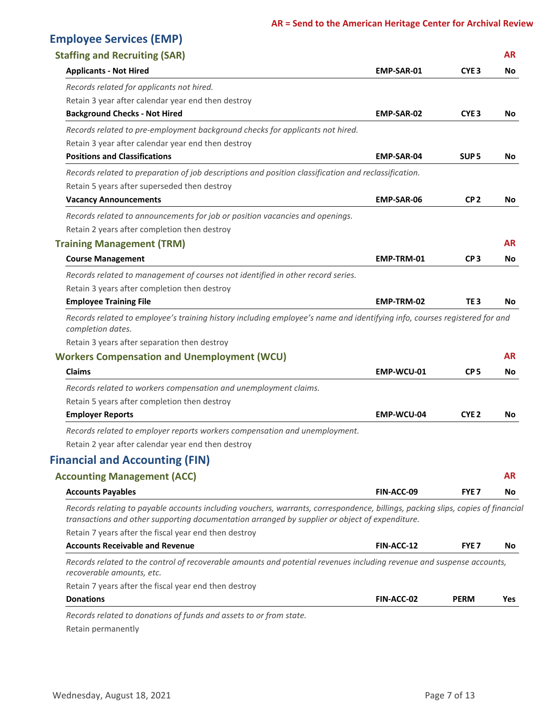## **Employee Services (EMP)**

| <b>Staffing and Recruiting (SAR)</b>                                                                                                                                                                                              |                   |                  | <b>AR</b> |
|-----------------------------------------------------------------------------------------------------------------------------------------------------------------------------------------------------------------------------------|-------------------|------------------|-----------|
| <b>Applicants - Not Hired</b>                                                                                                                                                                                                     | EMP-SAR-01        | CYE <sub>3</sub> | No        |
| Records related for applicants not hired.                                                                                                                                                                                         |                   |                  |           |
| Retain 3 year after calendar year end then destroy                                                                                                                                                                                |                   |                  |           |
| <b>Background Checks - Not Hired</b>                                                                                                                                                                                              | EMP-SAR-02        | CYE <sub>3</sub> | No        |
| Records related to pre-employment background checks for applicants not hired.                                                                                                                                                     |                   |                  |           |
| Retain 3 year after calendar year end then destroy                                                                                                                                                                                |                   |                  |           |
| <b>Positions and Classifications</b>                                                                                                                                                                                              | <b>EMP-SAR-04</b> | SUP <sub>5</sub> | No        |
| Records related to preparation of job descriptions and position classification and reclassification.                                                                                                                              |                   |                  |           |
| Retain 5 years after superseded then destroy                                                                                                                                                                                      |                   |                  |           |
| <b>Vacancy Announcements</b>                                                                                                                                                                                                      | <b>EMP-SAR-06</b> | CP <sub>2</sub>  | No        |
| Records related to announcements for job or position vacancies and openings.                                                                                                                                                      |                   |                  |           |
| Retain 2 years after completion then destroy                                                                                                                                                                                      |                   |                  |           |
| <b>Training Management (TRM)</b>                                                                                                                                                                                                  |                   |                  | AR        |
| <b>Course Management</b>                                                                                                                                                                                                          | EMP-TRM-01        | CP <sub>3</sub>  | No        |
| Records related to management of courses not identified in other record series.                                                                                                                                                   |                   |                  |           |
| Retain 3 years after completion then destroy                                                                                                                                                                                      |                   |                  |           |
| <b>Employee Training File</b>                                                                                                                                                                                                     | EMP-TRM-02        | TE 3             | No        |
| completion dates.<br>Retain 3 years after separation then destroy<br><b>Workers Compensation and Unemployment (WCU)</b>                                                                                                           |                   |                  | AR        |
| <b>Claims</b>                                                                                                                                                                                                                     | EMP-WCU-01        | CP <sub>5</sub>  | No        |
| Records related to workers compensation and unemployment claims.                                                                                                                                                                  |                   |                  |           |
| Retain 5 years after completion then destroy                                                                                                                                                                                      |                   |                  |           |
| <b>Employer Reports</b>                                                                                                                                                                                                           | EMP-WCU-04        | CYE <sub>2</sub> | No        |
| Records related to employer reports workers compensation and unemployment.                                                                                                                                                        |                   |                  |           |
| Retain 2 year after calendar year end then destroy                                                                                                                                                                                |                   |                  |           |
| <b>Financial and Accounting (FIN)</b>                                                                                                                                                                                             |                   |                  |           |
| <b>Accounting Management (ACC)</b>                                                                                                                                                                                                |                   |                  | AR        |
| <b>Accounts Payables</b>                                                                                                                                                                                                          | FIN-ACC-09        | FYE <sub>7</sub> | No        |
| Records relating to payable accounts including vouchers, warrants, correspondence, billings, packing slips, copies of financial<br>transactions and other supporting documentation arranged by supplier or object of expenditure. |                   |                  |           |
| Retain 7 years after the fiscal year end then destroy                                                                                                                                                                             |                   |                  |           |
| <b>Accounts Receivable and Revenue</b>                                                                                                                                                                                            | FIN-ACC-12        | FYE <sub>7</sub> | No        |
| Records related to the control of recoverable amounts and potential revenues including revenue and suspense accounts,<br>recoverable amounts, etc.                                                                                |                   |                  |           |
| Retain 7 years after the fiscal year end then destroy                                                                                                                                                                             |                   |                  |           |
| <b>Donations</b>                                                                                                                                                                                                                  | FIN-ACC-02        | <b>PERM</b>      | Yes       |
| Records related to donations of funds and assets to or from state.                                                                                                                                                                |                   |                  |           |

Retain permanently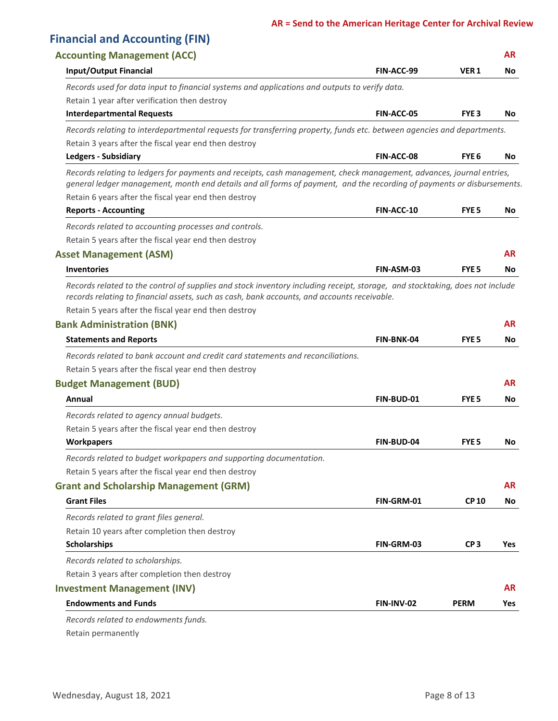| <b>Financial and Accounting (FIN)</b>                                                                                                                                                                                                                                                                   |                   |                  |           |
|---------------------------------------------------------------------------------------------------------------------------------------------------------------------------------------------------------------------------------------------------------------------------------------------------------|-------------------|------------------|-----------|
| <b>Accounting Management (ACC)</b>                                                                                                                                                                                                                                                                      |                   |                  | <b>AR</b> |
| <b>Input/Output Financial</b>                                                                                                                                                                                                                                                                           | FIN-ACC-99        | VER <sub>1</sub> | No.       |
| Records used for data input to financial systems and applications and outputs to verify data.                                                                                                                                                                                                           |                   |                  |           |
| Retain 1 year after verification then destroy                                                                                                                                                                                                                                                           |                   |                  |           |
| <b>Interdepartmental Requests</b>                                                                                                                                                                                                                                                                       | <b>FIN-ACC-05</b> | FYE <sub>3</sub> | No.       |
| Records relating to interdepartmental requests for transferring property, funds etc. between agencies and departments.                                                                                                                                                                                  |                   |                  |           |
| Retain 3 years after the fiscal year end then destroy                                                                                                                                                                                                                                                   |                   |                  |           |
| <b>Ledgers - Subsidiary</b>                                                                                                                                                                                                                                                                             | FIN-ACC-08        | FYE <sub>6</sub> | No.       |
| Records relating to ledgers for payments and receipts, cash management, check management, advances, journal entries,<br>general ledger management, month end details and all forms of payment, and the recording of payments or disbursements.<br>Retain 6 years after the fiscal year end then destroy |                   |                  |           |
| <b>Reports - Accounting</b>                                                                                                                                                                                                                                                                             | <b>FIN-ACC-10</b> | <b>FYE 5</b>     | No.       |
| Records related to accounting processes and controls.                                                                                                                                                                                                                                                   |                   |                  |           |
| Retain 5 years after the fiscal year end then destroy                                                                                                                                                                                                                                                   |                   |                  |           |
| <b>Asset Management (ASM)</b>                                                                                                                                                                                                                                                                           |                   |                  | <b>AR</b> |
| <b>Inventories</b>                                                                                                                                                                                                                                                                                      | FIN-ASM-03        | <b>FYE 5</b>     | No.       |
| records relating to financial assets, such as cash, bank accounts, and accounts receivable.<br>Retain 5 years after the fiscal year end then destroy<br><b>Bank Administration (BNK)</b>                                                                                                                |                   |                  | <b>AR</b> |
| <b>Statements and Reports</b>                                                                                                                                                                                                                                                                           | FIN-BNK-04        | <b>FYE 5</b>     | No        |
| Records related to bank account and credit card statements and reconciliations.                                                                                                                                                                                                                         |                   |                  |           |
| Retain 5 years after the fiscal year end then destroy                                                                                                                                                                                                                                                   |                   |                  |           |
| <b>Budget Management (BUD)</b>                                                                                                                                                                                                                                                                          |                   |                  | <b>AR</b> |
| Annual                                                                                                                                                                                                                                                                                                  | FIN-BUD-01        | FYE <sub>5</sub> | No.       |
| Records related to agency annual budgets.                                                                                                                                                                                                                                                               |                   |                  |           |
| Retain 5 years after the fiscal year end then destroy                                                                                                                                                                                                                                                   |                   |                  |           |
| <b>Workpapers</b>                                                                                                                                                                                                                                                                                       | <b>FIN-BUD-04</b> | <b>FYE 5</b>     | No.       |
| Records related to budget workpapers and supporting documentation.                                                                                                                                                                                                                                      |                   |                  |           |
| Retain 5 years after the fiscal year end then destroy                                                                                                                                                                                                                                                   |                   |                  |           |
| <b>Grant and Scholarship Management (GRM)</b>                                                                                                                                                                                                                                                           |                   |                  | <b>AR</b> |
| <b>Grant Files</b>                                                                                                                                                                                                                                                                                      | FIN-GRM-01        | <b>CP10</b>      | No.       |
| Records related to grant files general.                                                                                                                                                                                                                                                                 |                   |                  |           |
| Retain 10 years after completion then destroy                                                                                                                                                                                                                                                           |                   |                  |           |
| <b>Scholarships</b>                                                                                                                                                                                                                                                                                     | FIN-GRM-03        | CP <sub>3</sub>  | Yes       |
| Records related to scholarships.                                                                                                                                                                                                                                                                        |                   |                  |           |
| Retain 3 years after completion then destroy                                                                                                                                                                                                                                                            |                   |                  |           |
| <b>Investment Management (INV)</b>                                                                                                                                                                                                                                                                      |                   |                  | <b>AR</b> |
| <b>Endowments and Funds</b>                                                                                                                                                                                                                                                                             | FIN-INV-02        | <b>PERM</b>      | Yes       |
| Records related to endowments funds.                                                                                                                                                                                                                                                                    |                   |                  |           |

Retain permanently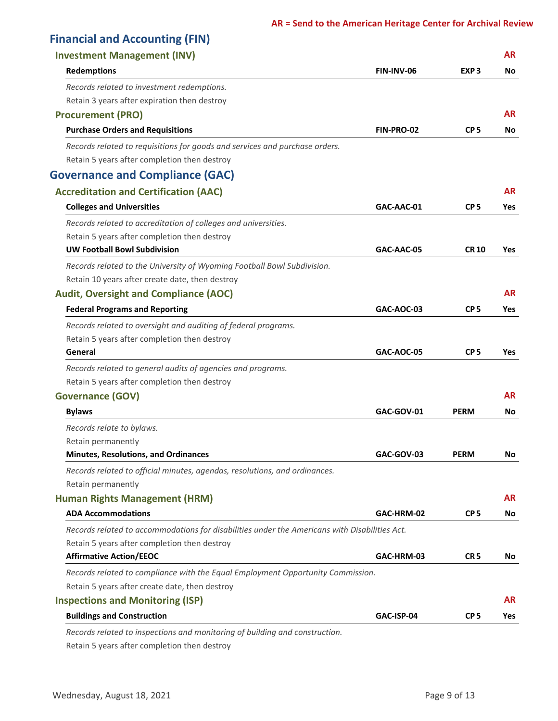| <b>Financial and Accounting (FIN)</b>                                                         |                   |                  |            |
|-----------------------------------------------------------------------------------------------|-------------------|------------------|------------|
| <b>Investment Management (INV)</b>                                                            |                   |                  | <b>AR</b>  |
| <b>Redemptions</b>                                                                            | FIN-INV-06        | EXP <sub>3</sub> | No         |
| Records related to investment redemptions.                                                    |                   |                  |            |
| Retain 3 years after expiration then destroy                                                  |                   |                  |            |
| <b>Procurement (PRO)</b>                                                                      |                   |                  | <b>AR</b>  |
| <b>Purchase Orders and Requisitions</b>                                                       | FIN-PRO-02        | CP <sub>5</sub>  | No         |
| Records related to requisitions for goods and services and purchase orders.                   |                   |                  |            |
| Retain 5 years after completion then destroy                                                  |                   |                  |            |
| <b>Governance and Compliance (GAC)</b>                                                        |                   |                  |            |
| <b>Accreditation and Certification (AAC)</b>                                                  |                   |                  | <b>AR</b>  |
| <b>Colleges and Universities</b>                                                              | GAC-AAC-01        | CP <sub>5</sub>  | Yes        |
| Records related to accreditation of colleges and universities.                                |                   |                  |            |
| Retain 5 years after completion then destroy                                                  |                   |                  |            |
| <b>UW Football Bowl Subdivision</b>                                                           | GAC-AAC-05        | <b>CR 10</b>     | Yes        |
| Records related to the University of Wyoming Football Bowl Subdivision.                       |                   |                  |            |
| Retain 10 years after create date, then destroy                                               |                   |                  |            |
| <b>Audit, Oversight and Compliance (AOC)</b>                                                  |                   |                  | <b>AR</b>  |
| <b>Federal Programs and Reporting</b>                                                         | GAC-AOC-03        | CP <sub>5</sub>  | Yes        |
| Records related to oversight and auditing of federal programs.                                |                   |                  |            |
| Retain 5 years after completion then destroy                                                  |                   |                  |            |
| General                                                                                       | <b>GAC-AOC-05</b> | CP <sub>5</sub>  | Yes        |
| Records related to general audits of agencies and programs.                                   |                   |                  |            |
| Retain 5 years after completion then destroy                                                  |                   |                  |            |
| <b>Governance (GOV)</b>                                                                       |                   |                  | <b>AR</b>  |
| <b>Bylaws</b>                                                                                 | GAC-GOV-01        | <b>PERM</b>      | No         |
| Records relate to bylaws.                                                                     |                   |                  |            |
| Retain permanently                                                                            |                   |                  |            |
| <b>Minutes, Resolutions, and Ordinances</b>                                                   | GAC-GOV-03        | <b>PERM</b>      | No         |
| Records related to official minutes, agendas, resolutions, and ordinances.                    |                   |                  |            |
| Retain permanently                                                                            |                   |                  |            |
| <b>Human Rights Management (HRM)</b>                                                          |                   |                  | <b>AR</b>  |
| <b>ADA Accommodations</b>                                                                     | GAC-HRM-02        | CP <sub>5</sub>  | No         |
| Records related to accommodations for disabilities under the Americans with Disabilities Act. |                   |                  |            |
| Retain 5 years after completion then destroy                                                  |                   |                  |            |
| <b>Affirmative Action/EEOC</b>                                                                | GAC-HRM-03        | CR <sub>5</sub>  | No.        |
| Records related to compliance with the Equal Employment Opportunity Commission.               |                   |                  |            |
| Retain 5 years after create date, then destroy                                                |                   |                  |            |
| <b>Inspections and Monitoring (ISP)</b>                                                       |                   |                  | <b>AR</b>  |
| <b>Buildings and Construction</b>                                                             | GAC-ISP-04        | CP <sub>5</sub>  | <b>Yes</b> |
| Records related to inspections and monitoring of building and construction.                   |                   |                  |            |

Retain 5 years after completion then destroy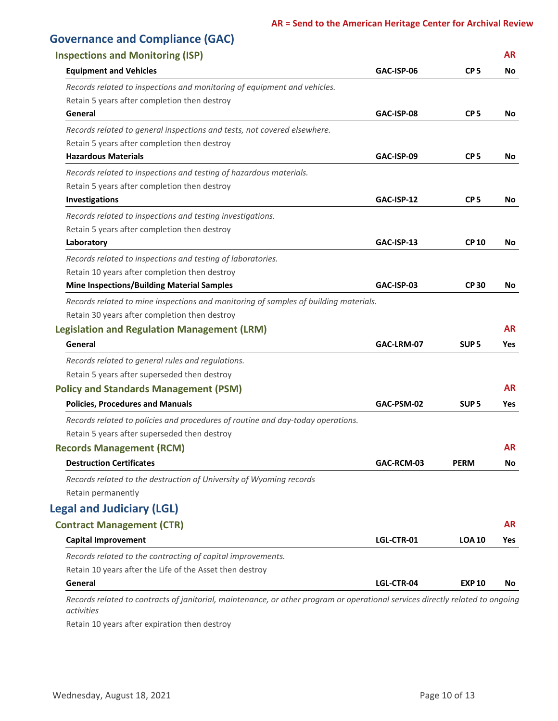| <b>Governance and Compliance (GAC)</b>                                                                                        |            |                  |           |
|-------------------------------------------------------------------------------------------------------------------------------|------------|------------------|-----------|
| <b>Inspections and Monitoring (ISP)</b>                                                                                       |            |                  | <b>AR</b> |
| <b>Equipment and Vehicles</b>                                                                                                 | GAC-ISP-06 | CP <sub>5</sub>  | No        |
| Records related to inspections and monitoring of equipment and vehicles.                                                      |            |                  |           |
| Retain 5 years after completion then destroy                                                                                  |            |                  |           |
| General                                                                                                                       | GAC-ISP-08 | CP <sub>5</sub>  | No        |
| Records related to general inspections and tests, not covered elsewhere.                                                      |            |                  |           |
| Retain 5 years after completion then destroy                                                                                  |            |                  |           |
| <b>Hazardous Materials</b>                                                                                                    | GAC-ISP-09 | CP <sub>5</sub>  | No        |
| Records related to inspections and testing of hazardous materials.                                                            |            |                  |           |
| Retain 5 years after completion then destroy                                                                                  |            |                  |           |
| Investigations                                                                                                                | GAC-ISP-12 | CP <sub>5</sub>  | No        |
| Records related to inspections and testing investigations.                                                                    |            |                  |           |
| Retain 5 years after completion then destroy                                                                                  |            |                  |           |
| Laboratory                                                                                                                    | GAC-ISP-13 | <b>CP 10</b>     | No        |
| Records related to inspections and testing of laboratories.                                                                   |            |                  |           |
| Retain 10 years after completion then destroy                                                                                 |            |                  |           |
| <b>Mine Inspections/Building Material Samples</b>                                                                             | GAC-ISP-03 | <b>CP30</b>      | No        |
| Records related to mine inspections and monitoring of samples of building materials.                                          |            |                  |           |
| Retain 30 years after completion then destroy                                                                                 |            |                  |           |
| <b>Legislation and Regulation Management (LRM)</b>                                                                            |            |                  | <b>AR</b> |
| General                                                                                                                       | GAC-LRM-07 | SUP <sub>5</sub> | Yes       |
| Records related to general rules and regulations.                                                                             |            |                  |           |
| Retain 5 years after superseded then destroy                                                                                  |            |                  |           |
| <b>Policy and Standards Management (PSM)</b>                                                                                  |            |                  | <b>AR</b> |
| <b>Policies, Procedures and Manuals</b>                                                                                       | GAC-PSM-02 | SUP <sub>5</sub> | Yes       |
| Records related to policies and procedures of routine and day-today operations.                                               |            |                  |           |
| Retain 5 years after superseded then destroy                                                                                  |            |                  |           |
| <b>Records Management (RCM)</b>                                                                                               |            |                  | <b>AR</b> |
| <b>Destruction Certificates</b>                                                                                               | GAC-RCM-03 | <b>PERM</b>      | No        |
| Records related to the destruction of University of Wyoming records                                                           |            |                  |           |
| Retain permanently                                                                                                            |            |                  |           |
| <b>Legal and Judiciary (LGL)</b>                                                                                              |            |                  |           |
| <b>Contract Management (CTR)</b>                                                                                              |            |                  | <b>AR</b> |
| <b>Capital Improvement</b>                                                                                                    | LGL-CTR-01 | <b>LOA 10</b>    | Yes       |
|                                                                                                                               |            |                  |           |
| Records related to the contracting of capital improvements.                                                                   |            |                  |           |
| Retain 10 years after the Life of the Asset then destroy<br>General                                                           | LGL-CTR-04 | <b>EXP 10</b>    | No        |
| Records related to contracts of janitorial, maintenance, or other program or operational services directly related to ongoing |            |                  |           |

*activities*

Retain 10 years after expiration then destroy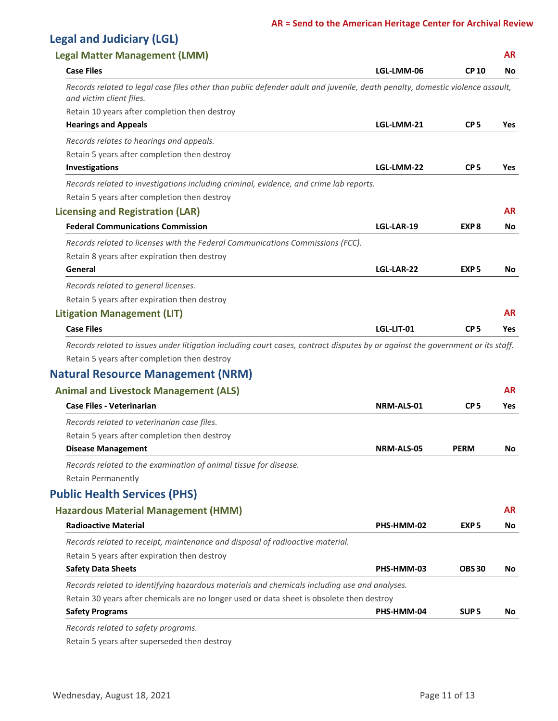## **Legal and Judiciary (LGL)**

| <b>Legal Matter Management (LMM)</b>                                                                                                                     |            |                  | <b>AR</b>  |
|----------------------------------------------------------------------------------------------------------------------------------------------------------|------------|------------------|------------|
| <b>Case Files</b>                                                                                                                                        | LGL-LMM-06 | <b>CP10</b>      | No         |
| Records related to legal case files other than public defender adult and juvenile, death penalty, domestic violence assault,<br>and victim client files. |            |                  |            |
| Retain 10 years after completion then destroy                                                                                                            |            |                  |            |
| <b>Hearings and Appeals</b>                                                                                                                              | LGL-LMM-21 | CP <sub>5</sub>  | Yes        |
| Records relates to hearings and appeals.                                                                                                                 |            |                  |            |
| Retain 5 years after completion then destroy                                                                                                             |            |                  |            |
| Investigations                                                                                                                                           | LGL-LMM-22 | CP <sub>5</sub>  | Yes        |
| Records related to investigations including criminal, evidence, and crime lab reports.                                                                   |            |                  |            |
| Retain 5 years after completion then destroy                                                                                                             |            |                  |            |
| <b>Licensing and Registration (LAR)</b>                                                                                                                  |            |                  | AR         |
| <b>Federal Communications Commission</b>                                                                                                                 | LGL-LAR-19 | EXP <sub>8</sub> | No         |
| Records related to licenses with the Federal Communications Commissions (FCC).                                                                           |            |                  |            |
| Retain 8 years after expiration then destroy                                                                                                             |            |                  |            |
| General                                                                                                                                                  | LGL-LAR-22 | EXP <sub>5</sub> | No         |
| Records related to general licenses.                                                                                                                     |            |                  |            |
| Retain 5 years after expiration then destroy                                                                                                             |            |                  |            |
| <b>Litigation Management (LIT)</b>                                                                                                                       |            |                  | <b>AR</b>  |
| <b>Case Files</b>                                                                                                                                        | LGL-LIT-01 | CP <sub>5</sub>  | <b>Yes</b> |
| Records related to issues under litigation including court cases, contract disputes by or against the government or its staff.                           |            |                  |            |
| Retain 5 years after completion then destroy                                                                                                             |            |                  |            |
| <b>Natural Resource Management (NRM)</b>                                                                                                                 |            |                  |            |
| <b>Animal and Livestock Management (ALS)</b>                                                                                                             |            |                  | <b>AR</b>  |
| <b>Case Files - Veterinarian</b>                                                                                                                         | NRM-ALS-01 | CP <sub>5</sub>  | Yes        |
|                                                                                                                                                          |            |                  |            |
| Records related to veterinarian case files.                                                                                                              |            |                  |            |
| Retain 5 years after completion then destroy                                                                                                             | NRM-ALS-05 | <b>PERM</b>      | No         |
| <b>Disease Management</b>                                                                                                                                |            |                  |            |
| Records related to the examination of animal tissue for disease.                                                                                         |            |                  |            |
| <b>Retain Permanently</b>                                                                                                                                |            |                  |            |
| <b>Public Health Services (PHS)</b>                                                                                                                      |            |                  |            |
| <b>Hazardous Material Management (HMM)</b>                                                                                                               |            |                  | <b>AR</b>  |
| <b>Radioactive Material</b>                                                                                                                              | PHS-HMM-02 | EXP <sub>5</sub> | No         |
| Records related to receipt, maintenance and disposal of radioactive material.                                                                            |            |                  |            |
| Retain 5 years after expiration then destroy                                                                                                             |            |                  |            |
| <b>Safety Data Sheets</b>                                                                                                                                | PHS-HMM-03 | <b>OBS30</b>     | No         |
| Records related to identifying hazardous materials and chemicals including use and analyses.                                                             |            |                  |            |
| Retain 30 years after chemicals are no longer used or data sheet is obsolete then destroy                                                                |            |                  |            |
| <b>Safety Programs</b>                                                                                                                                   | PHS-HMM-04 | SUP <sub>5</sub> | No         |
| Records related to safety programs.                                                                                                                      |            |                  |            |

Retain 5 years after superseded then destroy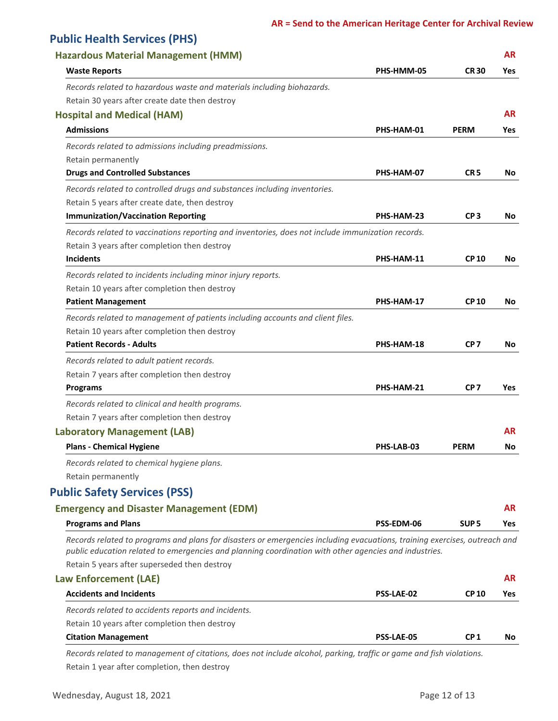## **Public Health Services (PHS)**

| <b>Hazardous Material Management (HMM)</b>                                                                                 |                   |                  | <b>AR</b>  |
|----------------------------------------------------------------------------------------------------------------------------|-------------------|------------------|------------|
| <b>Waste Reports</b>                                                                                                       | PHS-HMM-05        | <b>CR30</b>      | Yes        |
| Records related to hazardous waste and materials including biohazards.                                                     |                   |                  |            |
| Retain 30 years after create date then destroy                                                                             |                   |                  |            |
| <b>Hospital and Medical (HAM)</b>                                                                                          |                   |                  | <b>AR</b>  |
| <b>Admissions</b>                                                                                                          | PHS-HAM-01        | <b>PERM</b>      | <b>Yes</b> |
| Records related to admissions including preadmissions.                                                                     |                   |                  |            |
| Retain permanently                                                                                                         |                   |                  |            |
| <b>Drugs and Controlled Substances</b>                                                                                     | PHS-HAM-07        | CR <sub>5</sub>  | No         |
| Records related to controlled drugs and substances including inventories.                                                  |                   |                  |            |
| Retain 5 years after create date, then destroy                                                                             |                   |                  |            |
| <b>Immunization/Vaccination Reporting</b>                                                                                  | PHS-HAM-23        | CP <sub>3</sub>  | No         |
| Records related to vaccinations reporting and inventories, does not include immunization records.                          |                   |                  |            |
| Retain 3 years after completion then destroy                                                                               |                   |                  |            |
| <b>Incidents</b>                                                                                                           | PHS-HAM-11        | <b>CP10</b>      | No         |
| Records related to incidents including minor injury reports.                                                               |                   |                  |            |
| Retain 10 years after completion then destroy                                                                              |                   |                  |            |
| <b>Patient Management</b>                                                                                                  | PHS-HAM-17        | <b>CP10</b>      | No         |
| Records related to management of patients including accounts and client files.                                             |                   |                  |            |
| Retain 10 years after completion then destroy                                                                              |                   |                  |            |
| <b>Patient Records - Adults</b>                                                                                            | PHS-HAM-18        | CP <sub>7</sub>  | No         |
| Records related to adult patient records.                                                                                  |                   |                  |            |
| Retain 7 years after completion then destroy                                                                               |                   |                  |            |
| <b>Programs</b>                                                                                                            | PHS-HAM-21        | CP <sub>7</sub>  | Yes        |
| Records related to clinical and health programs.                                                                           |                   |                  |            |
| Retain 7 years after completion then destroy                                                                               |                   |                  |            |
| <b>Laboratory Management (LAB)</b>                                                                                         |                   |                  | <b>AR</b>  |
| <b>Plans - Chemical Hygiene</b>                                                                                            | PHS-LAB-03        | <b>PERM</b>      | No         |
| Records related to chemical hygiene plans.                                                                                 |                   |                  |            |
| Retain permanently                                                                                                         |                   |                  |            |
| <b>Public Safety Services (PSS)</b>                                                                                        |                   |                  |            |
| <b>Emergency and Disaster Management (EDM)</b>                                                                             |                   |                  | <b>AR</b>  |
| <b>Programs and Plans</b>                                                                                                  | PSS-EDM-06        | SUP <sub>5</sub> | <b>Yes</b> |
| Records related to programs and plans for disasters or emergencies including evacuations, training exercises, outreach and |                   |                  |            |
| public education related to emergencies and planning coordination with other agencies and industries.                      |                   |                  |            |
| Retain 5 years after superseded then destroy                                                                               |                   |                  | <b>AR</b>  |
| <b>Law Enforcement (LAE)</b>                                                                                               |                   |                  |            |
| <b>Accidents and Incidents</b>                                                                                             | <b>PSS-LAE-02</b> | <b>CP 10</b>     | <b>Yes</b> |
| Records related to accidents reports and incidents.                                                                        |                   |                  |            |
| Retain 10 years after completion then destroy                                                                              |                   |                  |            |
| <b>Citation Management</b>                                                                                                 | PSS-LAE-05        | CP <sub>1</sub>  | No         |

Retain 1 year after completion, then destroy